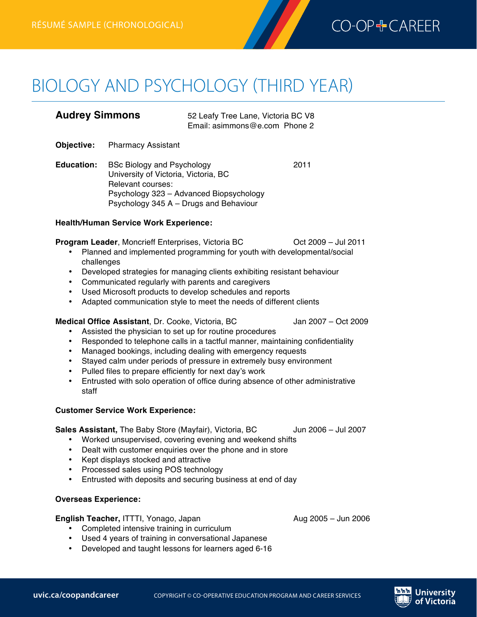

# **BIOLOGY AND PSYCHOLOGY (THIRD YEAR)**

| <b>Audrey Simmons</b> | 52 Leafy Tree Lane, Victoria BC V8 |
|-----------------------|------------------------------------|
|                       | Email: asimmons@e.com Phone 2      |

- **Objective:** Pharmacy Assistant
- **Education:** BSc Biology and Psychology 2011 University of Victoria, Victoria, BC Relevant courses: Psychology 323 – Advanced Biopsychology Psychology 345 A – Drugs and Behaviour

#### **Health/Human Service Work Experience:**

**Program Leader, Moncrieff Enterprises, Victoria BC** Oct 2009 – Jul 2011

- Planned and implemented programming for youth with developmental/social challenges
- Developed strategies for managing clients exhibiting resistant behaviour
- Communicated regularly with parents and caregivers
- Used Microsoft products to develop schedules and reports<br>• Adanted communication style to meet the needs of differen
- Adapted communication style to meet the needs of different clients

#### **Medical Office Assistant**, Dr. Cooke, Victoria, BC Jan 2007 – Oct 2009

- Assisted the physician to set up for routine procedures
- Responded to telephone calls in a tactful manner, maintaining confidentiality
- Managed bookings, including dealing with emergency requests
- Stayed calm under periods of pressure in extremely busy environment
- Pulled files to prepare efficiently for next day's work
- Entrusted with solo operation of office during absence of other administrative staff

### **Customer Service Work Experience:**

**Sales Assistant,** The Baby Store (Mayfair), Victoria, BC and Jun 2006 – Jul 2007

- Worked unsupervised, covering evening and weekend shifts
- Dealt with customer enquiries over the phone and in store
- Kept displays stocked and attractive
- Processed sales using POS technology
- Entrusted with deposits and securing business at end of day

### **Overseas Experience:**

#### **English Teacher,** ITTTI, Yonago, Japan **Aug 2005 – Jun 2006** Aug 2005 – Jun 2006

- Completed intensive training in curriculum • Used 4 years of training in conversational Japanese
- Developed and taught lessons for learners aged 6-16